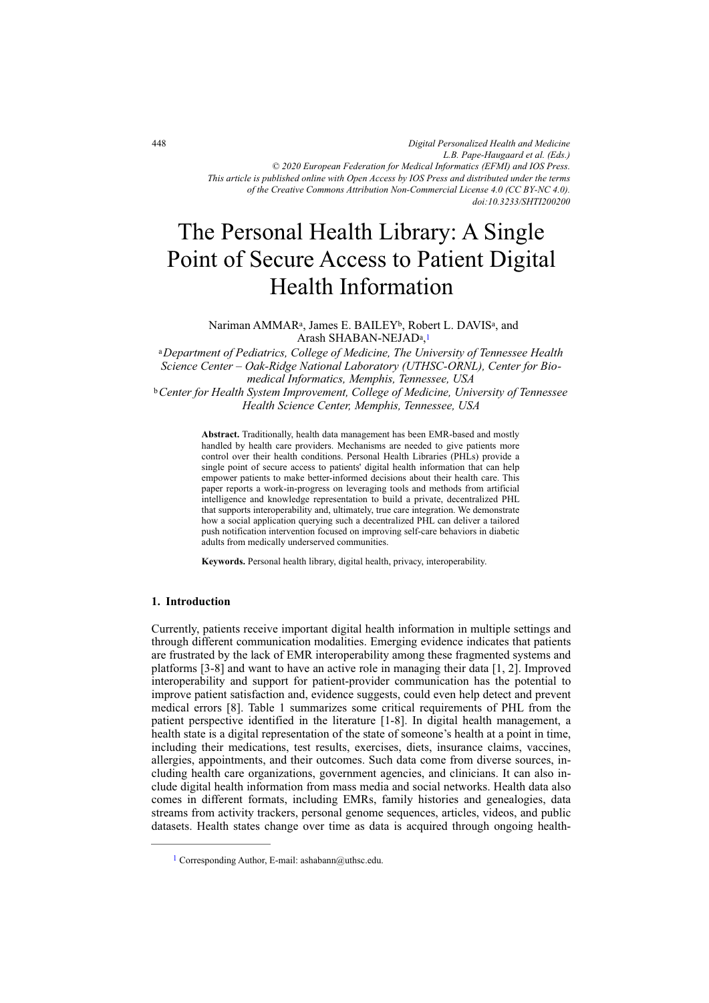*Digital Personalized Health and Medicine L.B. Pape-Haugaard et al. (Eds.) © 2020 European Federation for Medical Informatics (EFMI) and IOS Press. This article is published online with Open Access by IOS Press and distributed under the terms of the Creative Commons Attribution Non-Commercial License 4.0 (CC BY-NC 4.0). doi:10.3233/SHTI200200*

# The Personal Health Library: A Single Point of Secure Access to Patient Digital Health Information

Nariman AMMAR<sup>a</sup>, James E. BAILEY<sup>b</sup>, Robert L. DAVIS<sup>a</sup>, and Arash SHABAN-NEJAD<sup>a</sup>,<sup>1</sup>

<sup>a</sup>*Department of Pediatrics, College of Medicine, The University of Tennessee Health Science Center – Oak-Ridge National Laboratory (UTHSC-ORNL), Center for Biomedical Informatics, Memphis, Tennessee, USA*  <sup>b</sup>*Center for Health System Improvement, College of Medicine, University of Tennessee Health Science Center, Memphis, Tennessee, USA* 

> **Abstract.** Traditionally, health data management has been EMR-based and mostly handled by health care providers. Mechanisms are needed to give patients more control over their health conditions. Personal Health Libraries (PHLs) provide a single point of secure access to patients' digital health information that can help empower patients to make better-informed decisions about their health care. This paper reports a work-in-progress on leveraging tools and methods from artificial intelligence and knowledge representation to build a private, decentralized PHL that supports interoperability and, ultimately, true care integration. We demonstrate how a social application querying such a decentralized PHL can deliver a tailored push notification intervention focused on improving self-care behaviors in diabetic adults from medically underserved communities.

**Keywords.** Personal health library, digital health, privacy, interoperability.

### **1. Introduction**

Currently, patients receive important digital health information in multiple settings and through different communication modalities. Emerging evidence indicates that patients are frustrated by the lack of EMR interoperability among these fragmented systems and platforms [3-8] and want to have an active role in managing their data [1, 2]. Improved interoperability and support for patient-provider communication has the potential to improve patient satisfaction and, evidence suggests, could even help detect and prevent medical errors [8]. Table 1 summarizes some critical requirements of PHL from the patient perspective identified in the literature [1-8]. In digital health management, a health state is a digital representation of the state of someone's health at a point in time, including their medications, test results, exercises, diets, insurance claims, vaccines, allergies, appointments, and their outcomes. Such data come from diverse sources, including health care organizations, government agencies, and clinicians. It can also include digital health information from mass media and social networks. Health data also comes in different formats, including EMRs, family histories and genealogies, data streams from activity trackers, personal genome sequences, articles, videos, and public datasets. Health states change over time as data is acquired through ongoing health-

<sup>&</sup>lt;sup>1</sup> Corresponding Author, E-mail: ashabann@uthsc.edu.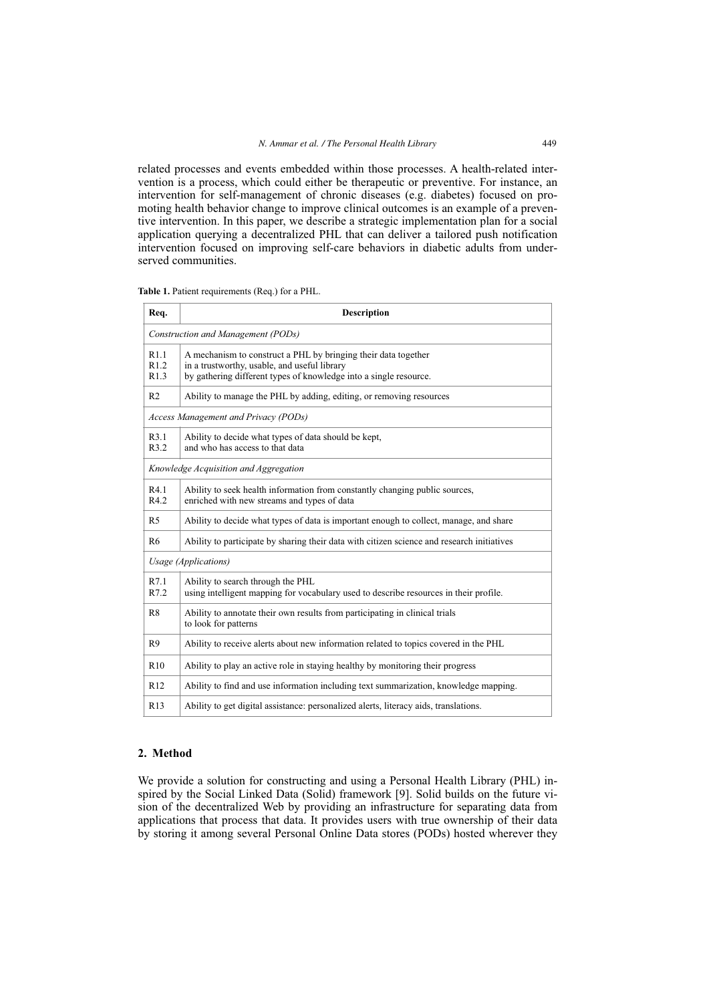related processes and events embedded within those processes. A health-related intervention is a process, which could either be therapeutic or preventive. For instance, an intervention for self-management of chronic diseases (e.g. diabetes) focused on promoting health behavior change to improve clinical outcomes is an example of a preventive intervention. In this paper, we describe a strategic implementation plan for a social application querying a decentralized PHL that can deliver a tailored push notification intervention focused on improving self-care behaviors in diabetic adults from underserved communities.

| Req.                                  | <b>Description</b>                                                                                                                                                                  |  |  |  |
|---------------------------------------|-------------------------------------------------------------------------------------------------------------------------------------------------------------------------------------|--|--|--|
| Construction and Management (PODs)    |                                                                                                                                                                                     |  |  |  |
| R1.1<br>R1.2<br>R1.3                  | A mechanism to construct a PHL by bringing their data together<br>in a trustworthy, usable, and useful library<br>by gathering different types of knowledge into a single resource. |  |  |  |
| R <sub>2</sub>                        | Ability to manage the PHL by adding, editing, or removing resources                                                                                                                 |  |  |  |
| Access Management and Privacy (PODs)  |                                                                                                                                                                                     |  |  |  |
| R3.1<br>R3.2                          | Ability to decide what types of data should be kept,<br>and who has access to that data                                                                                             |  |  |  |
| Knowledge Acquisition and Aggregation |                                                                                                                                                                                     |  |  |  |
| R4.1<br>R4.2                          | Ability to seek health information from constantly changing public sources,<br>enriched with new streams and types of data                                                          |  |  |  |
| R <sub>5</sub>                        | Ability to decide what types of data is important enough to collect, manage, and share                                                                                              |  |  |  |
| R <sub>6</sub>                        | Ability to participate by sharing their data with citizen science and research initiatives                                                                                          |  |  |  |
| Usage (Applications)                  |                                                                                                                                                                                     |  |  |  |
| R7.1<br>R7.2                          | Ability to search through the PHL<br>using intelligent mapping for vocabulary used to describe resources in their profile.                                                          |  |  |  |
| R <sub>8</sub>                        | Ability to annotate their own results from participating in clinical trials<br>to look for patterns                                                                                 |  |  |  |
| R <sub>9</sub>                        | Ability to receive alerts about new information related to topics covered in the PHL                                                                                                |  |  |  |
| R10                                   | Ability to play an active role in staying healthy by monitoring their progress                                                                                                      |  |  |  |
| R12                                   | Ability to find and use information including text summarization, knowledge mapping.                                                                                                |  |  |  |
| R13                                   | Ability to get digital assistance: personalized alerts, literacy aids, translations.                                                                                                |  |  |  |

**Table 1.** Patient requirements (Req.) for a PHL.

## **2. Method**

We provide a solution for constructing and using a Personal Health Library (PHL) inspired by the Social Linked Data (Solid) framework [9]. Solid builds on the future vision of the decentralized Web by providing an infrastructure for separating data from applications that process that data. It provides users with true ownership of their data by storing it among several Personal Online Data stores (PODs) hosted wherever they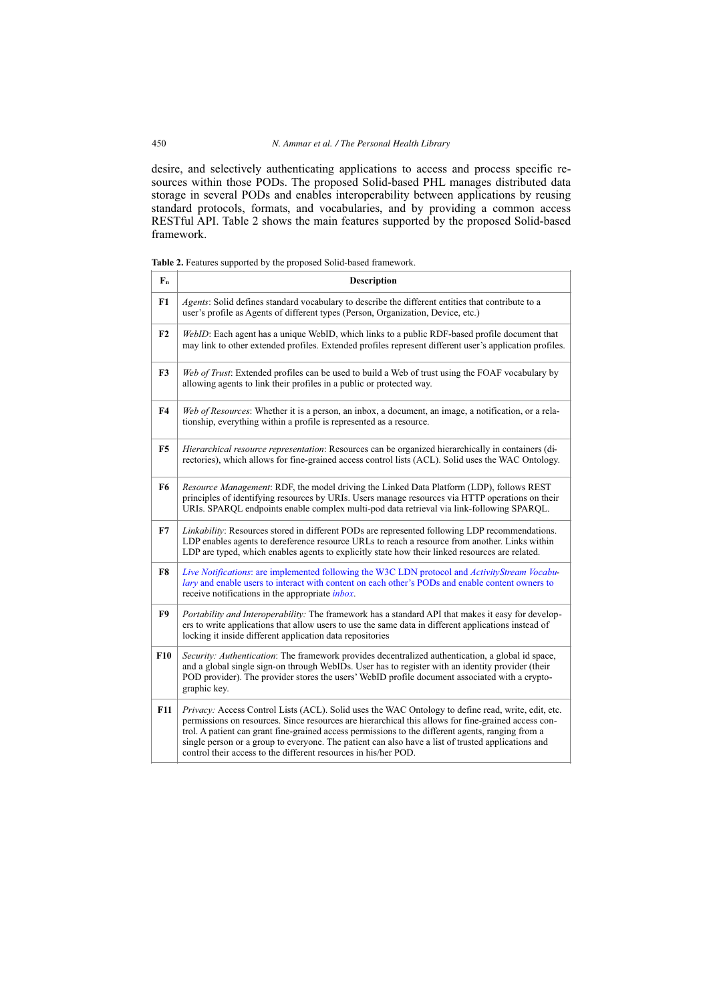desire, and selectively authenticating applications to access and process specific resources within those PODs. The proposed Solid-based PHL manages distributed data storage in several PODs and enables interoperability between applications by reusing standard protocols, formats, and vocabularies, and by providing a common access RESTful API. Table 2 shows the main features supported by the proposed Solid-based framework.

|  | <b>Table 2.</b> Features supported by the proposed Solid-based framework. |  |  |  |
|--|---------------------------------------------------------------------------|--|--|--|
|--|---------------------------------------------------------------------------|--|--|--|

| $F_n$          | <b>Description</b>                                                                                                                                                                                                                                                                                                                                                                                                                                                                      |
|----------------|-----------------------------------------------------------------------------------------------------------------------------------------------------------------------------------------------------------------------------------------------------------------------------------------------------------------------------------------------------------------------------------------------------------------------------------------------------------------------------------------|
| F1             | Agents: Solid defines standard vocabulary to describe the different entities that contribute to a<br>user's profile as Agents of different types (Person, Organization, Device, etc.)                                                                                                                                                                                                                                                                                                   |
| F2             | WebID: Each agent has a unique WebID, which links to a public RDF-based profile document that<br>may link to other extended profiles. Extended profiles represent different user's application profiles.                                                                                                                                                                                                                                                                                |
| F <sub>3</sub> | Web of Trust: Extended profiles can be used to build a Web of trust using the FOAF vocabulary by<br>allowing agents to link their profiles in a public or protected way.                                                                                                                                                                                                                                                                                                                |
| F <sub>4</sub> | Web of Resources: Whether it is a person, an inbox, a document, an image, a notification, or a rela-<br>tionship, everything within a profile is represented as a resource.                                                                                                                                                                                                                                                                                                             |
| F <sub>5</sub> | Hierarchical resource representation: Resources can be organized hierarchically in containers (di-<br>rectories), which allows for fine-grained access control lists (ACL). Solid uses the WAC Ontology.                                                                                                                                                                                                                                                                                |
| F6             | Resource Management: RDF, the model driving the Linked Data Platform (LDP), follows REST<br>principles of identifying resources by URIs. Users manage resources via HTTP operations on their<br>URIs. SPARQL endpoints enable complex multi-pod data retrieval via link-following SPARQL.                                                                                                                                                                                               |
| F7             | Linkability: Resources stored in different PODs are represented following LDP recommendations.<br>LDP enables agents to dereference resource URLs to reach a resource from another. Links within<br>LDP are typed, which enables agents to explicitly state how their linked resources are related.                                                                                                                                                                                     |
| F8             | Live Notifications: are implemented following the W3C LDN protocol and ActivityStream Vocabu-<br>lary and enable users to interact with content on each other's PODs and enable content owners to<br>receive notifications in the appropriate <i>inbox</i> .                                                                                                                                                                                                                            |
| F9             | <i>Portability and Interoperability:</i> The framework has a standard API that makes it easy for develop-<br>ers to write applications that allow users to use the same data in different applications instead of<br>locking it inside different application data repositories                                                                                                                                                                                                          |
| <b>F10</b>     | Security: Authentication: The framework provides decentralized authentication, a global id space,<br>and a global single sign-on through WebIDs. User has to register with an identity provider (their<br>POD provider). The provider stores the users' WebID profile document associated with a crypto-<br>graphic key.                                                                                                                                                                |
| <b>F11</b>     | Privacy: Access Control Lists (ACL). Solid uses the WAC Ontology to define read, write, edit, etc.<br>permissions on resources. Since resources are hierarchical this allows for fine-grained access con-<br>trol. A patient can grant fine-grained access permissions to the different agents, ranging from a<br>single person or a group to everyone. The patient can also have a list of trusted applications and<br>control their access to the different resources in his/her POD. |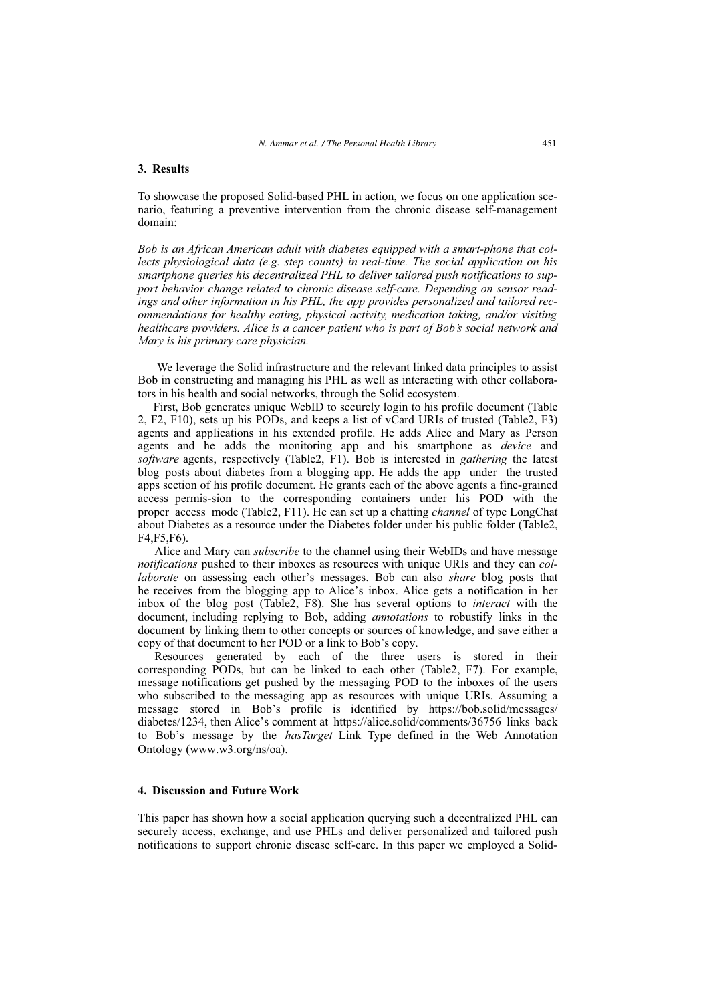## **3. Results**

To showcase the proposed Solid-based PHL in action, we focus on one application scenario, featuring a preventive intervention from the chronic disease self-management domain:

*Bob is an African American adult with diabetes equipped with a smart-phone that collects physiological data (e.g. step counts) in real-time. The social application on his smartphone queries his decentralized PHL to deliver tailored push notifications to support behavior change related to chronic disease self-care. Depending on sensor readings and other information in his PHL, the app provides personalized and tailored recommendations for healthy eating, physical activity, medication taking, and/or visiting healthcare providers. Alice is a cancer patient who is part of Bob's social network and Mary is his primary care physician.*

 We leverage the Solid infrastructure and the relevant linked data principles to assist Bob in constructing and managing his PHL as well as interacting with other collaborators in his health and social networks, through the Solid ecosystem.

First, Bob generates unique WebID to securely login to his profile document (Table 2, F2, F10), sets up his PODs, and keeps a list of vCard URIs of trusted (Table2, F3) agents and applications in his extended profile. He adds Alice and Mary as Person agents and he adds the monitoring app and his smartphone as *device* and *software* agents, respectively (Table2, F1). Bob is interested in *gathering* the latest blog posts about diabetes from a blogging app. He adds the app under the trusted apps section of his profile document. He grants each of the above agents a fine-grained access permis-sion to the corresponding containers under his POD with the proper access mode (Table2, F11). He can set up a chatting *channel* of type LongChat about Diabetes as a resource under the Diabetes folder under his public folder (Table2, F4,F5,F6).

Alice and Mary can *subscribe* to the channel using their WebIDs and have message *notifications* pushed to their inboxes as resources with unique URIs and they can *collaborate* on assessing each other's messages. Bob can also *share* blog posts that he receives from the blogging app to Alice's inbox. Alice gets a notification in her inbox of the blog post (Table2, F8). She has several options to *interact* with the document, including replying to Bob, adding *annotations* to robustify links in the document by linking them to other concepts or sources of knowledge, and save either a copy of that document to her POD or a link to Bob's copy.

Resources generated by each of the three users is stored in their corresponding PODs, but can be linked to each other (Table2, F7). For example, message notifications get pushed by the messaging POD to the inboxes of the users who subscribed to the messaging app as resources with unique URIs. Assuming a message stored in Bob's profile is identified by https://bob.solid/messages/ diabetes/1234, then Alice's comment at https://alice.solid/comments/36756 links back to Bob's message by the *hasTarget* Link Type defined in the Web Annotation Ontology (www.w3.org/ns/oa).

#### **4. Discussion and Future Work**

This paper has shown how a social application querying such a decentralized PHL can securely access, exchange, and use PHLs and deliver personalized and tailored push notifications to support chronic disease self-care. In this paper we employed a Solid